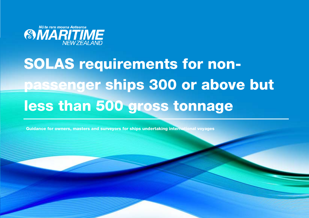

# SOLAS requirements for nonpassenger ships 300 or above but less than 500 gross tonnage

SOLAS requirements applied to non-passenger ships of 300 or above but less than 500 gross tonnage Page 1 of 21

Guidance for owners, masters and surveyors for ships undertaking international voyages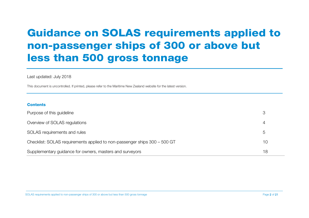# Guidance on SOLAS requirements applied to non-passenger ships of 300 or above but less than 500 gross tonnage

#### Last updated: July 2018

This document is uncontrolled. If printed, please refer to the Maritime New Zealand website for the latest version.

#### **Contents**

| Purpose of this guideline                                                 | 3       |
|---------------------------------------------------------------------------|---------|
| Overview of SOLAS regulations                                             | 4       |
| SOLAS requirements and rules                                              | $\circ$ |
| Checklist: SOLAS requirements applied to non-passenger ships 300 - 500 GT | 10      |
| Supplementary guidance for owners, masters and surveyors                  | 18      |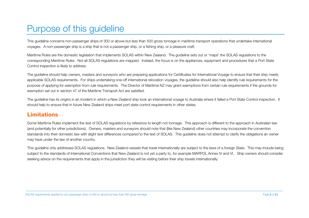# <span id="page-2-0"></span>Purpose of this guideline

This guideline concerns non-passenger ships of 300 or above but less than 500 gross tonnage in maritime transport operations that undertake international voyages. A non-passenger ship is a ship that is not a passenger ship, or a fishing ship, or a pleasure craft.

Maritime Rules are the domestic legislation that implements SOLAS within New Zealand. The guideline sets out or 'maps' the SOLAS regulations to the corresponding Maritime Rules. Not all SOLAS regulations are mapped. Instead, the focus is on the appliances, equipment and procedures that a Port State Control inspection is likely to address.

The guideline should help owners, masters and surveyors who are preparing applications for Certificates for International Voyage to ensure that their ship meets applicable SOLAS requirements. For ships undertaking one-off international relocation voyages, the guideline should also help identify rule requirements for the purpose of applying for exemption from rule requirements. The Director of Maritime NZ may grant exemptions from certain rule requirements if the grounds for exemption set out in section 47 of the Maritime Transport Act are satisfied.

The guideline has its origins in an incident in which a New Zealand ship took an international voyage to Australia where it failed a Port State Control inspection. It should help to ensure that in future New Zealand ships meet port state control requirements in other states.

### Limitations

Some Maritime Rules implement the text of SOLAS regulations by reference to length not tonnage. This approach is different to the approach in Australian law (and potentially for other jurisdictions). Owners, masters and surveyors should note that (like New Zealand) other countries may incorporate the convention standards into their domestic law with slight text differences compared to the text of SOLAS. This guideline does not attempt to clarify the obligations an owner may have under the law of another country.

This guideline only addresses SOLAS regulations. New Zealand vessels that travel internationally are subject to the laws of a foreign State. This may include being subject to the standards of International Conventions that New Zealand is not yet a party to, for example MARPOL Annex IV and VI. Ship owners should consider seeking advice on the requirements that apply in the jurisdiction they will be visiting before their ship travels internationally.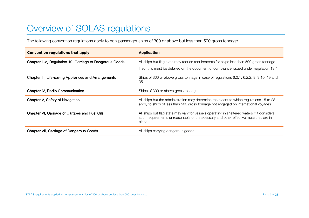# <span id="page-3-0"></span>Overview of SOLAS regulations

The following convention regulations apply to non-passenger ships of 300 or above but less than 500 gross tonnage.

<span id="page-3-1"></span>

| <b>Convention regulations that apply</b>                 | <b>Application</b>                                                                                                                                                                        |
|----------------------------------------------------------|-------------------------------------------------------------------------------------------------------------------------------------------------------------------------------------------|
| Chapter II-2, Regulation 19, Carriage of Dangerous Goods | All ships but flag state may reduce requirements for ships less than 500 gross tonnage                                                                                                    |
|                                                          | If so, this must be detailed on the document of compliance issued under regulation 19.4                                                                                                   |
| Chapter III, Life-saving Appliances and Arrangements     | Ships of 300 or above gross tonnage in case of regulations 6.2.1, 6.2.2, 8, 9,10, 19 and<br>35                                                                                            |
| Chapter IV, Radio Communication                          | Ships of 300 or above gross tonnage                                                                                                                                                       |
| Chapter V, Safety of Navigation                          | All ships but the administration may determine the extent to which regulations 15 to 28<br>apply to ships of less than 500 gross tonnage not engaged on international voyages             |
| Chapter VI, Carriage of Cargoes and Fuel Oils            | All ships but flag state may vary for vessels operating in sheltered waters if it considers<br>such requirements unreasonable or unnecessary and other effective measures are in<br>place |
| Chapter VII, Carriage of Dangerous Goods                 | All ships carrying dangerous goods                                                                                                                                                        |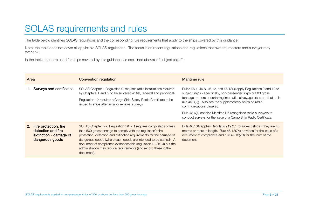# SOLAS requirements and rules

The table below identifies SOLAS regulations and the corresponding rule requirements that apply to the ships covered by this guidance.

Note: the table does not cover all applicable SOLAS regulations. The focus is on recent regulations and regulations that owners, masters and surveyor may overlook.

In the table, the term used for ships covered by this guidance (as explained above) is "subject ships".

| Area |                                                                                            | <b>Convention regulation</b>                                                                                                                                                                                                                                                                                                                                                                                                             | Maritime rule                                                                                                                                                                                                                                                                                         |
|------|--------------------------------------------------------------------------------------------|------------------------------------------------------------------------------------------------------------------------------------------------------------------------------------------------------------------------------------------------------------------------------------------------------------------------------------------------------------------------------------------------------------------------------------------|-------------------------------------------------------------------------------------------------------------------------------------------------------------------------------------------------------------------------------------------------------------------------------------------------------|
|      | Surveys and certificates                                                                   | SOLAS Chapter I, Regulation 9, requires radio installations required<br>by Chapters III and IV to be surveyed (initial, renewal and periodical).<br>Regulation 12 requires a Cargo Ship Safety Radio Certificate to be<br>issued to ships after initial or renewal surveys.                                                                                                                                                              | Rules 46.4, 46.8, 46.12, and 46.13(3) apply Regulations 9 and 12 to<br>subject ships - specifically, non-passenger ships of 300 gross<br>tonnage or more undertaking international voyages (see application in<br>rule 46.3(2)). Also see the supplementary notes on radio<br>communications page 20. |
|      |                                                                                            |                                                                                                                                                                                                                                                                                                                                                                                                                                          | Rule 43.6(1) enables Maritime NZ recognised radio surveyors to<br>conduct surveys for the issue of a Cargo Ship Radio Certificate.                                                                                                                                                                    |
| 2.   | Fire protection, fire<br>detection and fire<br>extinction - carriage of<br>dangerous goods | SOLAS Chapter II-2, Regulation 19. 2.1 requires cargo ships of less<br>than 500 gross tonnage to comply with the regulation's fire<br>protection, detection and extinction requirements for the carriage of<br>dangerous goods (where such goods are intended to be carried). A<br>document of compliance evidences this (regulation II-2/19.4) but the<br>administration may reduce requirements (and record these in the<br>document). | Rule 46.10A applies Regulation 19.2.1 to subject ships if they are 45<br>metres or more in length. Rule 46.13(7A) provides for the issue of a<br>document of compliance and rule 46.13(7B) for the form of the<br>document.                                                                           |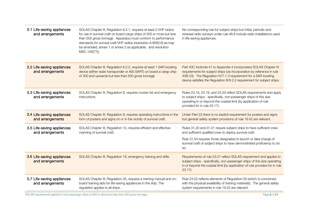| 3.1 Life-saving appliances<br>and arrangements | SOLAS Chapter III, Regulation 6.2.1, requires at least 2 VHF radios<br>for use in survival craft on board cargo ships of 300 or more but less<br>than 500 gross tonnage. Apparatus must conform to performance<br>standards for survival craft VHF radios (resolution A.809(19) as may<br>be amended, annex 1 or annex 2 as applicable, and resolution<br>MSC.149(77)). | No corresponding rule for subject ships but initial, periodic and<br>renewal radio surveys under rule 46.8 include radio installations used<br>in life-saving appliances.                                                                                                                 |
|------------------------------------------------|-------------------------------------------------------------------------------------------------------------------------------------------------------------------------------------------------------------------------------------------------------------------------------------------------------------------------------------------------------------------------|-------------------------------------------------------------------------------------------------------------------------------------------------------------------------------------------------------------------------------------------------------------------------------------------|
| 3.2 Life-saving appliances<br>and arrangements | SOLAS Chapter III, Regulation 6.2.2, requires at least 1 SAR locating<br>device (either radar transponder or AIS-SART) on board a cargo ship<br>of 300 and upwards but less than 500 gross tonnage                                                                                                                                                                      | Part 40C footnote 41 to Appendix 4 incorporates SOLAS Chapter IV<br>requirements for subject ships (via incorporation by reference in rule<br>40B.23). The Regulation IV/7.1.3 requirement for a SAR locating<br>device satisfies the Regulation III/6.2.2 requirement for subject ships. |
| 3.3 Life-saving appliances<br>and arrangements | SOLAS Chapter III, Regulation 8, requires muster list and emergency<br>instructions.                                                                                                                                                                                                                                                                                    | Rules 23.18, 23.19, and 23.20 reflect SOLAS requirements and apply<br>to subject ships - specifically, non-passenger ships of this size<br>operating in or beyond the coastal limit (by application of rule<br>provided for in rule 23.17).                                               |
| 3.4 Life-saving appliances<br>and arrangements | SOLAS Chapter III, Regulation 9, requires operating instructions in the<br>form of posters and signs on or in the vicinity of survival craft.                                                                                                                                                                                                                           | Under Part 23 there is no explicit requirement for posters and signs<br>but general safety system provisions of rule 19.42 are relevant.                                                                                                                                                  |
| 3.5 Life-saving appliances<br>and arrangements | SOLAS Chapter III, Regulation 10, requires efficient and effective<br>manning of survival craft.                                                                                                                                                                                                                                                                        | Rules 31.20 and 31.21 require subject ships to have sufficient crew<br>and sufficient qualified crew to deploy survival craft.                                                                                                                                                            |
|                                                |                                                                                                                                                                                                                                                                                                                                                                         | Rule 31.54 requires those designated to launch or take charge of<br>survival craft of subject ships to have demonstrated proficiency to do<br>SO.                                                                                                                                         |
| 3.6 Life-saving appliances<br>and arrangements | SOLAS Chapter III, Regulation 19, emergency training and drills.                                                                                                                                                                                                                                                                                                        | Requirements of rule 23.21 reflect SOLAS requirement and applies to<br>subject ships - specifically, non-passenger ships of this size operating<br>in or beyond the coastal limit (by application of rule provided for in rule<br>$23.17$ ).                                              |
| 3.7 Life-saving appliances<br>and arrangements | SOLAS Chapter III, Regulation 35, requires a training manual and on-<br>board training aids for life-saving appliances in the ship. The<br>regulation applies to all ships.                                                                                                                                                                                             | Rule 23.22 reflects elements of Regulation 35 (which is concerned<br>with the physical availability of training materials). The general safety<br>system requirements in rule 19.42 are relevant.                                                                                         |

SOLAS requirements applied to non-passenger ships of 300 or above but less than 500 gross tonnage Page 6 of 21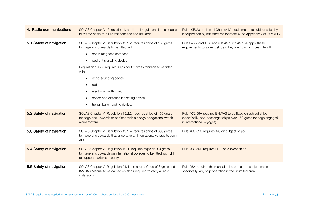| 4. Radio communications  | SOLAS Chapter IV, Regulation 1, applies all regulations in the chapter<br>to "cargo ships of 300 gross tonnage and upwards".                                                                                                                                                                                                                                                         | Rule 40B.23 applies all Chapter IV requirements to subject ships by<br>incorporation by reference via footnote 41 to Appendix 4 of Part 40C.                 |  |  |  |  |  |  |  |
|--------------------------|--------------------------------------------------------------------------------------------------------------------------------------------------------------------------------------------------------------------------------------------------------------------------------------------------------------------------------------------------------------------------------------|--------------------------------------------------------------------------------------------------------------------------------------------------------------|--|--|--|--|--|--|--|
| 5.1 Safety of navigation | SOLAS Chapter V, Regulation 19.2.2, requires ships of 150 gross<br>tonnage and upwards to be fitted with:<br>spare magnetic compass<br>daylight signalling device<br>Regulation 19.2.3 requires ships of 300 gross tonnage to be fitted<br>with:<br>echo-sounding device<br>radar<br>electronic plotting aid<br>speed and distance indicating device<br>transmitting heading device. | Rules 45.7 and 45.8 and rule 45.10 to 45.18A apply these<br>requirements to subject ships if they are 45 m or more in length.                                |  |  |  |  |  |  |  |
| 5.2 Safety of navigation | SOLAS Chapter V, Regulation 19.2.2, requires ships of 150 gross<br>tonnage and upwards to be fitted with a bridge navigational watch<br>alarm system.                                                                                                                                                                                                                                | Rule 40C.59A requires BNWAS to be fitted on subject ships<br>(specifically, non-passenger ships over 150 gross tonnage engaged<br>in international voyages). |  |  |  |  |  |  |  |
| 5.3 Safety of navigation | SOLAS Chapter V, Regulation 19.2.4, requires ships of 300 gross<br>Rule 40C.59C requires AIS on subject ships.<br>tonnage and upwards that undertake an international voyage to carry<br>AIS.                                                                                                                                                                                        |                                                                                                                                                              |  |  |  |  |  |  |  |
| 5.4 Safety of navigation | SOLAS Chapter V, Regulation 19-1, requires ships of 300 gross<br>Rule 40C.59B requires LRIT on subject ships.<br>tonnage and upwards on international voyages to be fitted with LRIT<br>to support maritime security.                                                                                                                                                                |                                                                                                                                                              |  |  |  |  |  |  |  |
| 5.5 Safety of navigation | SOLAS Chapter V, Regulation 21, International Code of Signals and<br>IAMSAR Manual to be carried on ships required to carry a radio<br>installation.                                                                                                                                                                                                                                 | Rule 25.4 requires the manual to be carried on subject ships -<br>specifically, any ship operating in the unlimited area.                                    |  |  |  |  |  |  |  |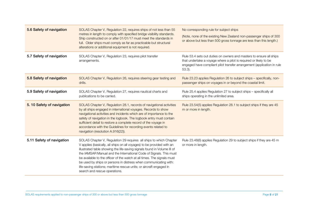| 5.6 Safety of navigation  | SOLAS Chapter V, Regulation 22, requires ships of not less than 55<br>metres in length to comply with specified bridge visibility standards.<br>Ship constructed on or after 01/01/17 must meet the standards in<br>full. Older ships must comply as far as practicable but structural<br>alterations or additional equipment is not required.                                                                                                                                                                                                        | No corresponding rule for subject ships<br>(Note, none of the existing New Zealand non-passenger ships of 300<br>or above but less than 500 gross tonnage are less than this length.)                                           |
|---------------------------|-------------------------------------------------------------------------------------------------------------------------------------------------------------------------------------------------------------------------------------------------------------------------------------------------------------------------------------------------------------------------------------------------------------------------------------------------------------------------------------------------------------------------------------------------------|---------------------------------------------------------------------------------------------------------------------------------------------------------------------------------------------------------------------------------|
| 5.7 Safety of navigation  | SOLAS Chapter V, Regulation 23, requires pilot transfer<br>arrangements.                                                                                                                                                                                                                                                                                                                                                                                                                                                                              | Rule 53.4 sets out duties on owners and masters to ensure all ships<br>that undertake a voyage where a pilot is required or likely to be<br>engaged have compliant pilot transfer arrangement (application in rule<br>$53.3$ ). |
| 5.8 Safety of navigation  | SOLAS Chapter V, Regulation 26, requires steering gear testing and<br>drills.                                                                                                                                                                                                                                                                                                                                                                                                                                                                         | Rule 23.23 applies Regulation 26 to subject ships - specifically, non-<br>passenger ships on voyages in or beyond the coastal limit.                                                                                            |
| 5.9 Safety of navigation  | SOLAS Chapter V, Regulation 27, requires nautical charts and<br>publications to be carried.                                                                                                                                                                                                                                                                                                                                                                                                                                                           | Rule 25.4 applies Regulation 27 to subject ships - specifically all<br>ships operating in the unlimited area.                                                                                                                   |
| 5.10 Safety of navigation | SOLAS Chapter V, Regulation 28.1, records of navigational activities<br>by all ships engaged in international voyages. Records to show<br>navigational activities and incidents which are of importance to the<br>safety of navigation in the logbook. The logbook entry must contain<br>sufficient detail to restore a complete record of the voyage in<br>accordance with the Guidelines for recording events related to<br>navigation (resolution A.916(22)).                                                                                      | Rule 23.54(5) applies Regulation 28.1 to subject ships if they are 45<br>m or more in length.                                                                                                                                   |
| 5.11 Safety of navigation | SOLAS Chapter V, Regulation 29 requires all ships to which Chapter<br>V applies (basically, all ships on all voyages) to be provided with an<br>illustrated table showing the life-saving signals found in Volume III of<br>the IAMSAR Manual and the International Code of Signals. This must<br>be available to the officer of the watch at all times. The signals must<br>be used by ships or persons in distress when communicating with:<br>life-saving stations; maritime rescue units; or aircraft engaged in<br>search and rescue operations. | Rule 23.48(6) applies Regulation 29 to subject ships if they are 45 m<br>or more in length.                                                                                                                                     |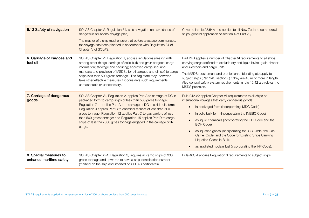| 5.12 Safety of navigation                         | SOLAS Chapter V, Regulation 34, safe navigation and avoidance of<br>dangerous situations (voyage plan).<br>The master of a ship must ensure that before a voyage commences,<br>the voyage has been planned in accordance with Regulation 34 of<br>Chapter V of SOLAS.                                                                                                                                                                                                                                          | Covered in rule 23.54A and applies to all New Zealand commercial<br>ships (general application of section 4 of Part 23).                                                                                                                                                                                                                                                                                                                                                                                                                                                          |  |  |  |
|---------------------------------------------------|----------------------------------------------------------------------------------------------------------------------------------------------------------------------------------------------------------------------------------------------------------------------------------------------------------------------------------------------------------------------------------------------------------------------------------------------------------------------------------------------------------------|-----------------------------------------------------------------------------------------------------------------------------------------------------------------------------------------------------------------------------------------------------------------------------------------------------------------------------------------------------------------------------------------------------------------------------------------------------------------------------------------------------------------------------------------------------------------------------------|--|--|--|
| 6. Carriage of cargoes and<br>fuel oil            | SOLAS Chapter VI, Regulation 1, applies regulations (dealing with<br>among other things, carriage of solid bulk and grain cargoes; cargo<br>information; stowage and securing; approved cargo securing<br>manuals; and provision of MSDSs for oil cargoes and oil fuel) to cargo<br>ships less than 500 gross tonnage. The flag state may, however,<br>take other effective measures if it considers such requirements<br>unreasonable or unnecessary.                                                         | Part 24B applies a number of Chapter VI requirements to all ships<br>carrying cargo (defined to exclude dry and liquid bulks, grain, timber<br>and livestock) and cargo units.<br>The MSDS requirement and prohibition of blending etc apply to<br>subject ships (Part 24C section 5) if they are 45 m or more in length.<br>Also general safety system requirements in rule 19.42 are relevant to<br>MSDS provision.                                                                                                                                                             |  |  |  |
| 7. Carriage of dangerous<br>goods                 | SOLAS Chapter VII, Regulation 2, applies Part A to carriage of DG in<br>packaged form to cargo ships of less than 500 gross tonnage;<br>Regulation 7-1 applies Part A-1 to carriage of DG in solid bulk form;<br>Regulation 9 applies Part B to chemical tankers of less than 500<br>gross tonnage; Regulation 12 applies Part C to gas carriers of less<br>than 500 gross tonnage; and Regulation 15 applies Part D to cargo<br>ships of less than 500 gross tonnage engaged in the carriage of INF<br>cargo. | Rule 24A.22 applies Chapter VII requirements to all ships on<br>international voyages that carry dangerous goods:<br>in packaged form (incorporating IMDG Code)<br>$\bullet$<br>in solid bulk form (incorporating the IMSBC Code)<br>$\bullet$<br>as liquid chemicals (incorporating the IBC Code and the<br>$\bullet$<br><b>BCH Code)</b><br>as liquefied gases (incorporating the IGC Code, the Gas<br>$\bullet$<br>Carrier Code, and the Code for Existing Ships Carrying<br>Liquefied Gases in Bulk)<br>as irradiated nuclear fuel (incorporating the INF Code).<br>$\bullet$ |  |  |  |
| 8. Special measures to<br>enhance maritime safety | SOLAS Chapter XI-1, Regulation 3, requires all cargo ships of 300<br>gross tonnage and upwards to have a ship identification number<br>(marked on the ship and inserted on SOLAS certificates).                                                                                                                                                                                                                                                                                                                | Rule 40C.4 applies Regulation 3 requirements to subject ships.                                                                                                                                                                                                                                                                                                                                                                                                                                                                                                                    |  |  |  |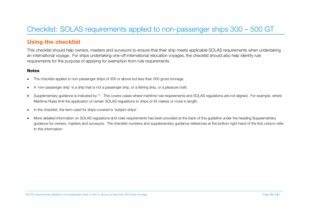# <span id="page-9-0"></span>Checklist: SOLAS requirements applied to non-passenger ships 300 – 500 GT

### Using the checklist

This checklist should help owners, masters and surveyors to ensure that their ship meets applicable SOLAS requirements when undertaking an international voyage. For ships undertaking one-off international relocation voyages, the checklist should also help identify rule requirements for the purpose of applying for exemption from rule requirements.

#### **Notes**

- The checklist applies to non-passenger ships of 300 or above but less than 500 gross tonnage.
- A 'non-passenger ship' is a ship that is not a passenger ship, or a fishing ship, or a pleasure craft.
- Supplementary quidance is indicated by \*\*. This covers cases where maritime rule requirements and SOLAS regulations are not aligned. For example, where Maritime Rules limit the application of certain SOLAS regulations to ships of 45 metres or more in length.
- In the checklist, the term used for ships covered is 'subject ships'.
- More detailed information on SOLAS regulations and rules requirements has been provided at the back of this guideline under the heading Supplementary guidance for owners, masters and surveyors. The checklist numbers and supplementary guidance references at the bottom right hand of the first column refer to this information.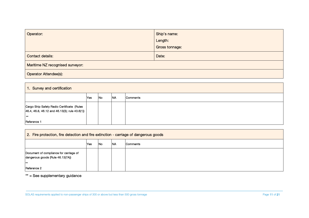| Operator:                        | Ship's name:   |
|----------------------------------|----------------|
|                                  | Length:        |
|                                  | Gross tonnage: |
| Contact details:                 | Date:          |
| Maritime NZ recognised surveyor: |                |
| <b>Operator Attendee(s):</b>     |                |

| 1. Survey and certification                                                                                 |     |            |            |          |  |
|-------------------------------------------------------------------------------------------------------------|-----|------------|------------|----------|--|
|                                                                                                             | Yes | <b>INo</b> | <b>INA</b> | Comments |  |
| Cargo Ship Safety Radio Certificate (Rules<br>$46.4$ , 46.8, 46.12 and 46.13(3); rule 43.6(1))<br><b>Ax</b> |     |            |            |          |  |
| Reference 1                                                                                                 |     |            |            |          |  |

| 2. Fire protection, fire detection and fire extinction - carriage of dangerous goods |      |           |           |                 |  |  |
|--------------------------------------------------------------------------------------|------|-----------|-----------|-----------------|--|--|
|                                                                                      | lYes | <b>No</b> | <b>NA</b> | <b>Comments</b> |  |  |
| Document of compliance for carriage of<br>dangerous goods (Rule 46.13(7A))           |      |           |           |                 |  |  |
| $***$                                                                                |      |           |           |                 |  |  |
| Reference 2                                                                          |      |           |           |                 |  |  |

\*\* = See supplementary guidance

SOLAS requirements applied to non-passenger ships of 300 or above but less than 500 gross tonnage Page 11 of 21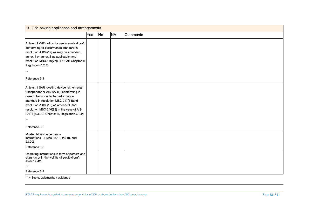| 3. Life-saving appliances and arrangements                                                                                                                                                                                                                                                                                          |     |    |           |          |  |
|-------------------------------------------------------------------------------------------------------------------------------------------------------------------------------------------------------------------------------------------------------------------------------------------------------------------------------------|-----|----|-----------|----------|--|
|                                                                                                                                                                                                                                                                                                                                     | Yes | No | <b>NA</b> | Comments |  |
| At least 2 VHF radios for use in survival craft<br>conforming to performance standard in<br>resolution A.809(19) as may be amended,<br>annex 1 or annex 2 as applicable, and<br>resolution MSC.149(77)). (SOLAS Chapter III,<br>Regulation 6.2.1)<br>$***$<br>Reference 3.1                                                         |     |    |           |          |  |
| At least 1 SAR locating device (either radar<br>transponder or AIS-SART) conforming in<br>case of transponder to performance<br>standard in resolution MSC 247(83)and<br>resolution A.809(19) as amended, and<br>resolution MSC 246(83) in the case of AIS-<br>SART (SOLAS Chapter III, Regulation 6.2.2)<br>$***$<br>Reference 3.2 |     |    |           |          |  |
| Muster list and emergency<br>instructions (Rules 23.18, 23.19, and<br>23.20)<br>Reference 3.3                                                                                                                                                                                                                                       |     |    |           |          |  |
| Operating instructions in form of posters and<br>signs on or in the vicinity of survival craft<br>(Rule 19.42)<br>$***$<br>Reference 3.4                                                                                                                                                                                            |     |    |           |          |  |

\*\* = See supplementary guidance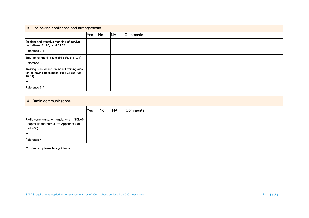| 3. Life-saving appliances and arrangements                                                                                    |     |           |           |          |  |
|-------------------------------------------------------------------------------------------------------------------------------|-----|-----------|-----------|----------|--|
|                                                                                                                               | Yes | <b>No</b> | <b>NA</b> | Comments |  |
| Efficient and effective manning of survival<br>craft (Rules 31.20, and 31.21)<br>Reference 3.5                                |     |           |           |          |  |
| Emergency training and drills (Rule 31.21)<br>Reference 3.6                                                                   |     |           |           |          |  |
| Training manual and on-board training aids<br>for life-saving appliances (Rule 31.22; rule<br>19.42<br>$***$<br>Reference 3.7 |     |           |           |          |  |

# 4. Radio communications Yes No NA Comments Radio communication regulations in SOLAS Chapter IV (footnote 41 to Appendix 4 of Part 40C) \*\* Reference 4

\*\* = See supplementary guidance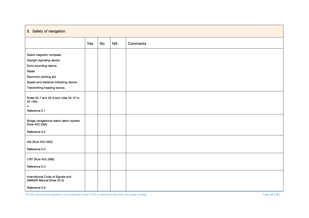### 5. Safety of navigation

|                                                                | Yes | <b>No</b> | <b>NA</b> | Comments |
|----------------------------------------------------------------|-----|-----------|-----------|----------|
|                                                                |     |           |           |          |
| Spare magnetic compass                                         |     |           |           |          |
| Daylight signaling device                                      |     |           |           |          |
| Echo-sounding device                                           |     |           |           |          |
| Radar                                                          |     |           |           |          |
| Electronic plotting aid                                        |     |           |           |          |
| Speed and distance indicating device                           |     |           |           |          |
| Transmitting heading device.                                   |     |           |           |          |
| Rules 45.7 and 45.8 and rules 45.10 to<br>45.18A)              |     |           |           |          |
| $\star\star$                                                   |     |           |           |          |
| Reference 5.1                                                  |     |           |           |          |
| Bridge navigational watch alarm system<br>(Rule 40C.59A)       |     |           |           |          |
| Reference 5.2                                                  |     |           |           |          |
| AIS (Rule 40C.59C)                                             |     |           |           |          |
| Reference 5.3                                                  |     |           |           |          |
| LRIT (Rule 40C.59B)                                            |     |           |           |          |
| Reference 5.4                                                  |     |           |           |          |
| International Code of Signals and<br>IAMSAR Manual (Rule 25.4) |     |           |           |          |
| Reference 5.5                                                  |     |           |           |          |

SOLAS requirements applied to non-passenger ships of 300 or above but less than 500 gross tonnage **Page 14** of 21 of 21 of 21 of 21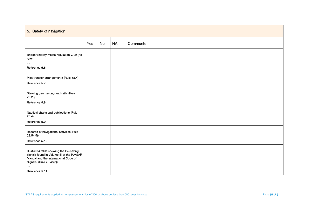### 5. Safety of navigation

|                                                                                                                                                                                       | Yes | <b>No</b> | <b>NA</b> | Comments |
|---------------------------------------------------------------------------------------------------------------------------------------------------------------------------------------|-----|-----------|-----------|----------|
| Bridge visibility meets regulation V/22 (no<br>rule)<br>$***$<br>Reference 5.6                                                                                                        |     |           |           |          |
| Pilot transfer arrangements (Rule 53.4)<br>Reference 5.7                                                                                                                              |     |           |           |          |
| Steering gear testing and drills (Rule<br>23.23)<br>Reference 5.8                                                                                                                     |     |           |           |          |
| Nautical charts and publications (Rule<br>25.4)<br>Reference 5.9                                                                                                                      |     |           |           |          |
| Records of navigational activities (Rule<br>23.54(5)<br>Reference 5.10                                                                                                                |     |           |           |          |
| Illustrated table showing the life-saving<br>signals found in Volume III of the IAMSAR<br>Manual and the International Code of<br>Signals. (Rule 23.48(6))<br>$***$<br>Reference 5.11 |     |           |           |          |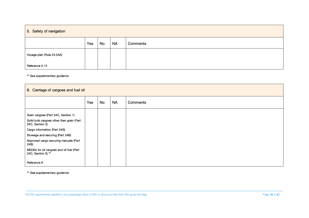## 5. Safety of navigation

|                           | Yes | <b>No</b> | <b>NA</b> | Comments |
|---------------------------|-----|-----------|-----------|----------|
| Voyage plan (Rule 23.54A) |     |           |           |          |
| Reference 5.12            |     |           |           |          |

\*\* See supplementary guidance

| 6. Carriage of cargoes and fuel oil                            |     |           |           |          |  |
|----------------------------------------------------------------|-----|-----------|-----------|----------|--|
|                                                                | Yes | <b>No</b> | <b>NA</b> | Comments |  |
| Grain cargoes (Part 24C, Section 1)                            |     |           |           |          |  |
| Solid bulk cargoes other than grain (Part<br>24C, Section 2)   |     |           |           |          |  |
| Cargo information (Part 24B)                                   |     |           |           |          |  |
| Stowage and securing (Part 24B)                                |     |           |           |          |  |
| Approved cargo securing manuals (Part<br>24B)                  |     |           |           |          |  |
| MSDSs for oil cargoes and oil fuel (Part<br>24C, Section 5) ** |     |           |           |          |  |
| Reference 6                                                    |     |           |           |          |  |

\*\* See supplementary guidance

SOLAS requirements applied to non-passenger ships of 300 or above but less than 500 gross tonnage Page 16 of 21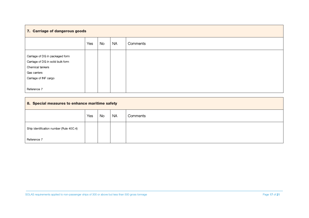### 7. Carriage of dangerous goods

|                                                                                                                                                  | Yes | <b>No</b> | <b>NA</b> | Comments |
|--------------------------------------------------------------------------------------------------------------------------------------------------|-----|-----------|-----------|----------|
| Carriage of DG in packaged form<br>Carriage of DG in solid bulk form<br>Chemical tankers<br>Gas carriers<br>Carriage of INF cargo<br>Reference 7 |     |           |           |          |

### 8. Special measures to enhance maritime safety

|                                         | Yes | <b>No</b> | NA | Comments |
|-----------------------------------------|-----|-----------|----|----------|
| Ship identification number (Rule 40C.4) |     |           |    |          |
| Reference 7                             |     |           |    |          |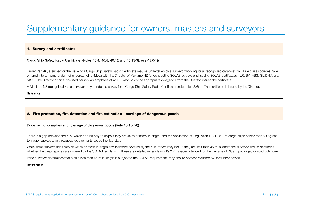# <span id="page-17-0"></span>Supplementary guidance for owners, masters and surveyors

#### 1. Survey and certificates

#### Cargo Ship Safety Radio Certificate (Rules 46.4, 46.8, 46.12 and 46.13(3); rule 43.6(1))

Under Part 46, a survey for the issue of a Cargo Ship Safety Radio Certificate may be undertaken by a surveyor working for a 'recognised organisation'. Five class societies have entered into a memorandum of understanding (MoU) with the Director of Maritime NZ for conducting SOLAS surveys and issuing SOLAS certificates - LR, BV, ABS, GL/DNV, and NKK. The Director or an authorised person (an employee of an RO who holds the appropriate delegation from the Director) issues the certificate.

A Maritime NZ recognised radio surveyor may conduct a survey for a Cargo Ship Safety Radio Certificate under rule 43.6(1). The certificate is issued by the Director.

Reference 1

#### 2. Fire protection, fire detection and fire extinction - carriage of dangerous goods

#### Document of compliance for carriage of dangerous goods (Rule 46.13(7A))

There is a gap between the rule, which applies only to ships if they are 45 m or more in length, and the application of Regulation II-2/19.2.1 to cargo ships of less than 500 gross tonnage, subject to any reduced requirements set by the flag state.

While some subject ships may be 45 m or more in length and therefore covered by the rule, others may not. If they are less than 45 m in length the surveyor should determine whether the cargo spaces are covered by the SOLAS regulation. These are detailed in regulation 19.2.2: spaces intended for the carriage of DGs in packaged or solid bulk form.

If the surveyor determines that a ship less than 45 m in length is subject to the SOLAS requirement, they should contact Maritime NZ for further advice.

#### Reference 2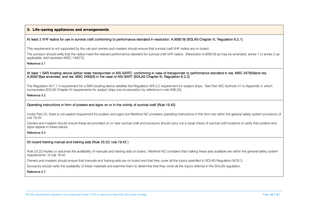#### 3. Life-saving appliances and arrangements

#### At least 2 VHF radios for use in survival craft conforming to performance standard in resolution. A.809(19) (SOLAS Chapter III, Regulation 6.2.1)

This requirement is not supported by the rule and owners and masters should ensure that survival craft VHF radios are on board.

The surveyor should verify that the radios meet the relevant performance standard for survival craft VHF radios. (Resolution A.809(19) as may be amended, annex 1 or annex 2 as applicable, and resolution MSC.149(77)).

#### Reference 3.1

#### At least 1 SAR locating device (either radar transponder or AIS-SART) conforming in case of transponder to performance standard in res. MSC 247(83)and res. A.809(19)as amended, and res. MSC 246(83) in the case of AIS-SART (SOLAS Chapter III, Regulation 6.2.2)

The Regulation IV/7.1.3 requirement for a SAR locating device satisfies the Regulation III/6.2.2 requirement for subject ships. See Part 40C footnote 41 to Appendix 4, which incorporates SOLAS Chapter IV requirements for subject ships (via incorporation by reference in rule 40B.23).

#### Reference 3.2

#### Operating instructions in form of posters and signs on or in the vicinity of survival craft (Rule 19.42)

Under Part 23, there is not explicit requirement for posters and signs but Maritime NZ considers operating instructions in this form are within the general safety system provisions of rule 19.42.

Owners and masters should ensure these are provided on or near survival craft and survevors should carry out a visual check of survival craft locations to verify that posters and signs appear in these places.

#### Reference 3.4

#### On board training manual and training aids (Rule 23.22; rule 19.42 )

Rule 23.22 implies or assumes the availability of manuals and training aids on board. Maritime NZ considers that making these aids available are within the general safety system requirements of rule 19.42

Owners and masters should ensure that manuals and training aids are on board and that they cover all the topics specified in SOLAS Regulation III/35.3.

Surveyors should verify the availability of these materials and examine them to determine that they cover all the topics referred in the SOLAS regulation.

#### Reference 3.7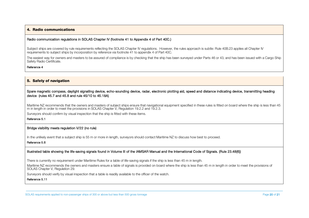#### 4. Radio communications

#### Radio communication regulations in SOLAS Chapter IV (footnote 41 to Appendix 4 of Part 40C.)

Subject ships are covered by rule requirements reflecting the SOLAS Chapter IV requlations. However, the rules approach is subtle: Rule 40B.23 applies all Chapter IV requirements to subject ships by incorporation by reference via footnote 41 to appendix 4 of Part 40C.

The easiest way for owners and masters to be assured of compliance is by checking that the ship has been surveyed under Parts 46 or 43, and has been issued with a Cargo Ship Safety Radio Certificate.

#### Reference 4

#### 5. Safety of navigation

#### Spare magnetic compass, daylight signalling device, echo-sounding device, radar, electronic plotting aid, speed and distance indicating device, transmitting heading device (rules 45.7 and 45.8 and rule 45/10 to 45.18A)

Maritime NZ recommends that the owners and masters of subject ships ensure that navigational equipment specified in these rules is fitted on board where the ship is less than 45 m in length in order to meet the provisions in SOLAS Chapter V, Regulation 19.2.2 and 19.2.3.

Surveyors should confirm by visual inspection that the ship is fitted with these items.

Reference 5.1

#### Bridge visibility meets regulation V/22 (no rule)

In the unlikely event that a subject ship is 55 m or more in length, surveyors should contact Maritime NZ to discuss how best to proceed.

#### Reference 5.6

#### Illustrated table showing the life-saving signals found in Volume III of the IAMSAR Manual and the International Code of Signals. (Rule 23.48(6))

There is currently no requirement under Maritime Rules for a table of life-saving signals if the ship is less than 45 m in length.

Maritime NZ recommends the owners and masters ensure a table of signals is provided on board where the ship is less than 45 m in length in order to meet the provisions of SOLAS Chapter V, Regulation 29.

Surveyors should verify by visual inspection that a table is readily available to the officer of the watch.

Reference 5.11